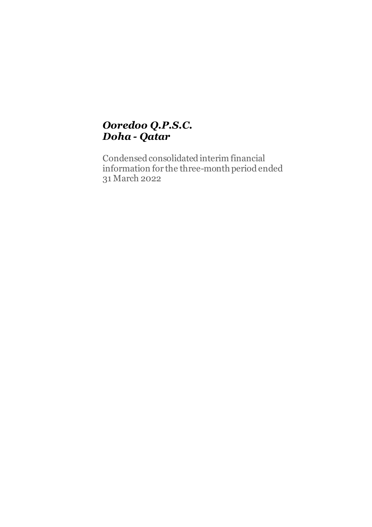# *Ooredoo Q.P.S.C. Doha - Qatar*

Condensed consolidated interim financial information for the three-month period ended 31 March 2022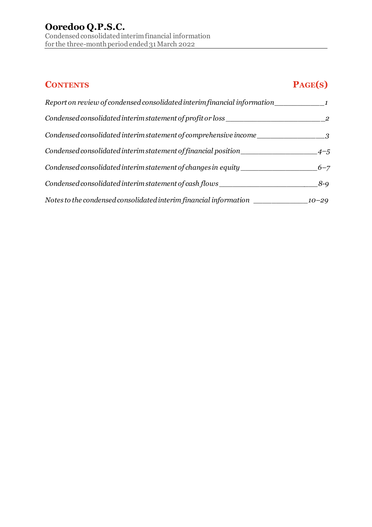# **CONTENTS PAGE(S)**

| Report on review of condensed consolidated interim financial information         |           |
|----------------------------------------------------------------------------------|-----------|
| Condensed consolidated interim statement of profit or loss                       |           |
| Condensed consolidated interim statement of comprehensive income                 |           |
| Condensed consolidated interim statement of financial position                   | $4 - 5$   |
| Condensed consolidated interim statement of changes in equity                    | $6 - 7$   |
| Condensed consolidated interim statement of cash flows                           | $8 - 9$   |
| Notes to the condensed consolidated interim financial information ______________ | $10 - 29$ |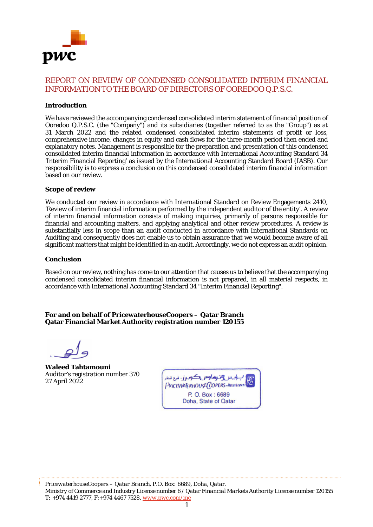

# REPORT ON REVIEW OF CONDENSED CONSOLIDATED INTERIM FINANCIAL INFORMATION TO THE BOARD OF DIRECTORS OF OOREDOO Q.P.S.C.

#### **Introduction**

We have reviewed the accompanying condensed consolidated interim statement of financial position of Ooredoo Q.P.S.C. (the "Company") and its subsidiaries (together referred to as the "Group") as at 31 March 2022 and the related condensed consolidated interim statements of profit or loss, comprehensive income, changes in equity and cash flows for the three-month period then ended and explanatory notes. Management is responsible for the preparation and presentation of this condensed consolidated interim financial information in accordance with International Accounting Standard 34 'Interim Financial Reporting' as issued by the International Accounting Standard Board (IASB). Our responsibility is to express a conclusion on this condensed consolidated interim financial information based on our review.

#### **Scope of review**

We conducted our review in accordance with International Standard on Review Engagements 2410, 'Review of interim financial information performed by the independent auditor of the entity'. A review of interim financial information consists of making inquiries, primarily of persons responsible for financial and accounting matters, and applying analytical and other review procedures. A review is substantially less in scope than an audit conducted in accordance with International Standards on Auditing and consequently does not enable us to obtain assurance that we would become aware of all significant matters that might be identified in an audit. Accordingly, we do not express an audit opinion.

#### **Conclusion**

Based on our review, nothing has come to our attention that causes us to believe that the accompanying condensed consolidated interim financial information is not prepared, in all material respects, in accordance with International Accounting Standard 34 "Interim Financial Reporting".

**For and on behalf of PricewaterhouseCoopers – Qatar Branch Qatar Financial Market Authority registration number 120155**

**Waleed Tahtamouni** Auditor's registration number 370 27 April 2022

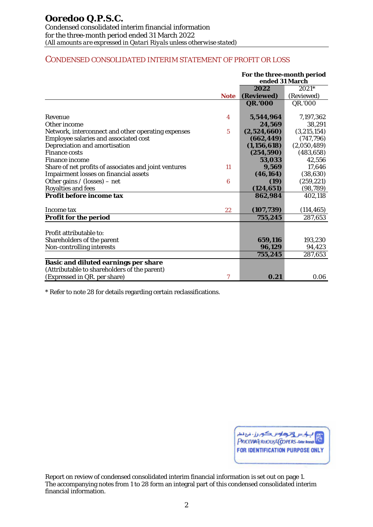# CONDENSED CONSOLIDATED INTERIM STATEMENT OF PROFIT OR LOSS

|                                                       |                  | For the three-month period<br>ended 31 March |             |
|-------------------------------------------------------|------------------|----------------------------------------------|-------------|
|                                                       |                  | 2022                                         | $2021*$     |
|                                                       | <b>Note</b>      | (Reviewed)                                   | (Reviewed)  |
|                                                       |                  | <b>QR.'000</b>                               | QR.'000     |
| Revenue                                               | 4                | 5,544,964                                    | 7,197,362   |
| Other income                                          |                  | 24.569                                       | 38,291      |
| Network, interconnect and other operating expenses    | $\overline{5}$   | (2,524,660)                                  | (3,215,154) |
| Employee salaries and associated cost                 |                  | (662, 449)                                   | (747, 796)  |
| Depreciation and amortisation                         |                  | (1, 156, 618)                                | (2,050,489) |
| <b>Finance costs</b>                                  |                  | (254, 590)                                   | (483, 658)  |
| <b>Finance income</b>                                 |                  | 53,033                                       | 42,556      |
| Share of net profits of associates and joint ventures | 11               | 9.569                                        | 17,646      |
| <b>Impairment losses on financial assets</b>          |                  | (46, 164)                                    | (38, 630)   |
| Other gains / (losses) - net                          | $\boldsymbol{6}$ | (19)                                         | (259, 221)  |
| <b>Royalties and fees</b>                             |                  | (124, 651)                                   | (98, 789)   |
| Profit before income tax                              |                  | 862,984                                      | 402,118     |
| Income tax                                            | 22               | (107, 739)                                   | (114, 465)  |
| Profit for the period                                 |                  | 755,245                                      | 287,653     |
|                                                       |                  |                                              |             |
| Profit attributable to:                               |                  |                                              |             |
| Shareholders of the parent                            |                  | 659,116                                      | 193,230     |
| Non-controlling interests                             |                  | 96,129                                       | 94,423      |
|                                                       |                  | 755,245                                      | 287,653     |
| <b>Basic and diluted earnings per share</b>           |                  |                                              |             |
| (Attributable to shareholders of the parent)          |                  |                                              |             |
| (Expressed in QR. per share)                          | $\tau$           | 0.21                                         | 0.06        |

\* Refer to note 28 for details regarding certain reclassifications.

| بالمس وترداس المراسكوبرز - مرع معاد    |
|----------------------------------------|
| <b>FOR IDENTIFICATION PURPOSE ONLY</b> |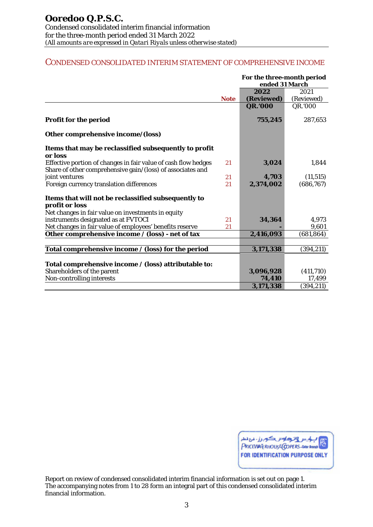# CONDENSED CONSOLIDATED INTERIM STATEMENT OF COMPREHENSIVE INCOME

|                                                                |             | For the three-month period<br>ended 31 March |            |  |  |
|----------------------------------------------------------------|-------------|----------------------------------------------|------------|--|--|
|                                                                |             | 2022                                         | 2021       |  |  |
|                                                                | <b>Note</b> | (Reviewed)                                   | (Reviewed) |  |  |
|                                                                |             | <b>QR.'000</b>                               | QR.'000    |  |  |
| <b>Profit for the period</b>                                   |             | 755,245                                      | 287,653    |  |  |
| Other comprehensive income/(loss)                              |             |                                              |            |  |  |
| Items that may be reclassified subsequently to profit          |             |                                              |            |  |  |
| or loss                                                        |             |                                              |            |  |  |
| Effective portion of changes in fair value of cash flow hedges | 21          | 3,024                                        | 1,844      |  |  |
| Share of other comprehensive gain/(loss) of associates and     |             |                                              |            |  |  |
| joint ventures                                                 | 21          | 4,703                                        | (11, 515)  |  |  |
| Foreign currency translation differences                       | 21          | 2,374,002                                    | (686, 767) |  |  |
| Items that will not be reclassified subsequently to            |             |                                              |            |  |  |
| profit or loss                                                 |             |                                              |            |  |  |
| Net changes in fair value on investments in equity             |             |                                              |            |  |  |
| instruments designated as at FVTOCI                            | 21          | 34,364                                       | 4,973      |  |  |
| Net changes in fair value of employees' benefits reserve       | 21          |                                              | 9,601      |  |  |
| Other comprehensive income / (loss) - net of tax               |             | 2,416,093                                    | (681, 864) |  |  |
|                                                                |             |                                              |            |  |  |
| Total comprehensive income / (loss) for the period             |             | 3,171,338                                    | (394, 211) |  |  |
|                                                                |             |                                              |            |  |  |
| Total comprehensive income / (loss) attributable to:           |             |                                              |            |  |  |
| Shareholders of the parent                                     |             | 3,096,928                                    | (411,710)  |  |  |
| Non-controlling interests                                      |             | 74,410                                       | 17,499     |  |  |
|                                                                |             | 3,171,338                                    | (394, 211) |  |  |

| المسلم المسلم المسلم المسلم المسلم المسلم المسلم المسلم المسلم المسلم المسلم المسلم المسلم المسلم المسلم المسلم<br>المسلم المسلم المسلم المسلم المسلم المسلم المسلم المسلم المسلم المسلم المسلم المسلم المسلم المسلم المسلم المس |
|----------------------------------------------------------------------------------------------------------------------------------------------------------------------------------------------------------------------------------|
| FOR IDENTIFICATION PURPOSE ONLY                                                                                                                                                                                                  |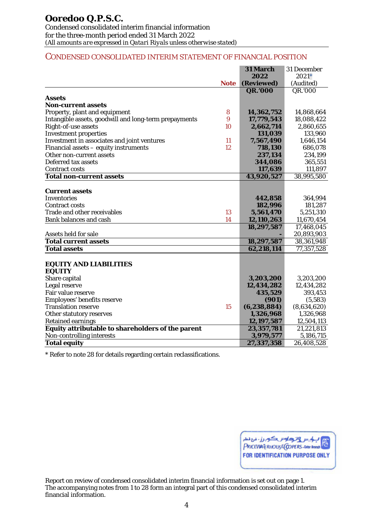#### CONDENSED CONSOLIDATED INTERIM STATEMENT OF FINANCIAL POSITION

|                                                       |             | 31 March      | 31 December |
|-------------------------------------------------------|-------------|---------------|-------------|
|                                                       |             | 2022          | $2021*$     |
|                                                       | <b>Note</b> | (Reviewed)    | (Audited)   |
|                                                       |             | QR.'000       | QR.'000     |
| Assets                                                |             |               |             |
| <b>Non-current assets</b>                             |             |               |             |
| Property, plant and equipment                         | 8           | 14,362,752    | 14,868,664  |
| Intangible assets, goodwill and long-term prepayments | 9           | 17,779,543    | 18,088,422  |
| Right-of-use assets                                   | 10          | 2,662,714     | 2,860,655   |
| <b>Investment properties</b>                          |             | 131,039       | 133,960     |
| Investment in associates and joint ventures           | 11          | 7,567,490     | 1,646,154   |
| Financial assets - equity instruments                 | 12          | 718,130       | 686,078     |
| Other non-current assets                              |             | 237,134       | 234,199     |
| Deferred tax assets                                   |             | 344,086       | 365,551     |
| <b>Contract costs</b>                                 |             | 117,639       | 111,897     |
| <b>Total non-current assets</b>                       |             | 43,920,527    | 38,995,580  |
|                                                       |             |               |             |
| <b>Current assets</b>                                 |             |               |             |
| Inventories                                           |             | 442,858       | 364,994     |
| <b>Contract costs</b>                                 |             | 182,996       | 181,287     |
| Trade and other receivables                           | 13          | 5,561,470     | 5,251,310   |
| <b>Bank balances and cash</b>                         | 14          | 12,110,263    | 11,670,454  |
|                                                       |             | 18,297,587    | 17,468,045  |
| Assets held for sale                                  |             |               | 20,893,903  |
| <b>Total current assets</b>                           |             | 18,297,587    | 38,361,948  |
| <b>Total assets</b>                                   |             | 62,218,114    | 77,357,528  |
|                                                       |             |               |             |
| <b>EQUITY AND LIABILITIES</b>                         |             |               |             |
| <b>EQUITY</b>                                         |             |               |             |
| Share capital                                         |             | 3,203,200     | 3,203,200   |
| Legal reserve                                         |             | 12,434,282    | 12,434,282  |
| Fair value reserve                                    |             | 435,529       | 393,453     |
| Employees' benefits reserve                           |             | (901)         | (5,583)     |
| <b>Translation reserve</b>                            | 15          | (6, 238, 884) | (8,634,620) |
| Other statutory reserves                              |             | 1,326,968     | 1,326,968   |
| <b>Retained earnings</b>                              |             | 12,197,587    | 12,504,113  |
| Equity attributable to shareholders of the parent     |             | 23,357,781    | 21,221,813  |
| Non-controlling interests                             |             | 3,979,577     | 5,186,715   |
| <b>Total equity</b>                                   |             | 27,337,358    | 26,408,528  |

\* Refer to note 28 for details regarding certain reclassifications.

| المسابق المسكورز: مع المطر المسابق المسابق المسابق المسابق المسابق المسابق المسابق المسابق المسابق المسابق ال<br>المسابق المسابق المسابق المسابق المسابق المسابق المسابق المسابق المسابق المسابق المسابق المسابق المسابق المساب |
|---------------------------------------------------------------------------------------------------------------------------------------------------------------------------------------------------------------------------------|
| <b>FOR IDENTIFICATION PURPOSE ONLY</b>                                                                                                                                                                                          |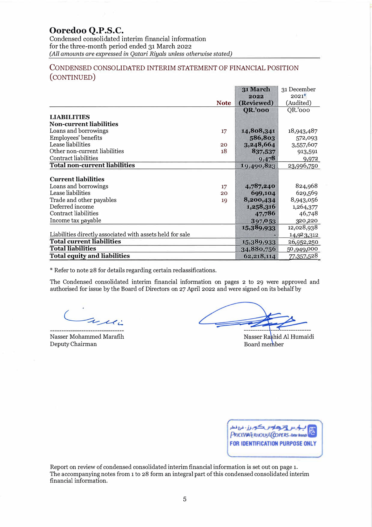# **Ooredoo Q.P .S.C.**

Condensed consolidated interim financial information for the three-month period ended 31 March 2022 *(All amounts are expressed in Qatari Riyals unless otherwise stated)* 

# CONDENSED CONSOLIDATED INTERIM STATEMENT OF FINANCIAL POSITION (CONTINUED)

|                                                           |             | 31 March       | 31 December |
|-----------------------------------------------------------|-------------|----------------|-------------|
|                                                           |             | 2022           | $2021*$     |
|                                                           | <b>Note</b> | (Reviewed)     | (Audited)   |
|                                                           |             | <b>QR.'000</b> | QR.'000     |
| <b>LIABILITIES</b>                                        |             |                |             |
| <b>Non-current liabilities</b>                            |             |                |             |
| Loans and borrowings                                      | 17          | 14,808,341     | 18,943,487  |
| Employees' benefits                                       |             | 586,803        | 572,093     |
| Lease liabilities                                         | 20          | 3,248,664      | 3,557,607   |
| Other non-current liabilities                             | 18          | 837,537        | 913,591     |
| Contract liabilities                                      |             | 9,478          | 9,972       |
| <b>Total non-current liabilities</b>                      |             | 19,490,823     | 23,996,750  |
|                                                           |             |                |             |
| <b>Current liabilities</b>                                |             |                |             |
| Loans and borrowings                                      | 17          | 4,787,240      | 824,968     |
| Lease liabilities                                         | 20          | 699,104        | 629,569     |
| Trade and other payables                                  | 19          | 8,200,434      | 8,943,056   |
| Deferred income                                           |             | 1,258,316      | 1,264,377   |
| Contract liabilities                                      |             | 47,786         | 46,748      |
| Income tax payable                                        |             | 397,053        | 320,220     |
|                                                           |             | 15,389,933     | 12,028,938  |
| Liabilities directly associated with assets held for sale |             |                | 14,923,312  |
| <b>Total current liabilities</b>                          |             | 15,389,933     | 26,952,250  |
| <b>Total liabilities</b>                                  |             | 34,880,756     | 50,949,000  |
| <b>Total equity and liabilities</b>                       |             | 62,218,114     | 77,357,528  |

\* Refer to note 28 for details regarding certain reclassifications.

The Condensed consolidated interim financial information on pages 2 to 29 were approved and authorised for issue by the Board of Directors on 27 April 2022 and were signed on its behalf by

willi

Nasser Mohammed Marafih Deputy Chairman

Nasser Rashid Al Humaidi Board member

| لياس وترها به سكوبرز . مع معد          |
|----------------------------------------|
| <b>FOR IDENTIFICATION PURPOSE ONLY</b> |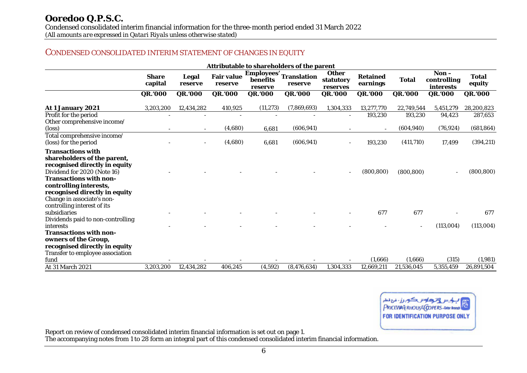Condensed consolidated interim financial information for the three-month period ended 31 March 2022

*(All amounts are expressed in Qatari Riyals unless otherwise stated)*

# CONDENSED CONSOLIDATED INTERIM STATEMENT OF CHANGES IN EQUITY

| Attributable to shareholders of the parent                                                                                                                                                                                                        |                         |                         |                              |                                          |                               |                                       |                             |              |                                    |                        |
|---------------------------------------------------------------------------------------------------------------------------------------------------------------------------------------------------------------------------------------------------|-------------------------|-------------------------|------------------------------|------------------------------------------|-------------------------------|---------------------------------------|-----------------------------|--------------|------------------------------------|------------------------|
|                                                                                                                                                                                                                                                   | <b>Share</b><br>capital | <b>Legal</b><br>reserve | <b>Fair value</b><br>reserve | <b>Employees'</b><br>benefits<br>reserve | <b>Translation</b><br>reserve | <b>Other</b><br>statutory<br>reserves | <b>Retained</b><br>earnings | <b>Total</b> | $Non-$<br>controlling<br>interests | <b>Total</b><br>equity |
|                                                                                                                                                                                                                                                   | <b>QR.'000</b>          | <b>QR.'000</b>          | QR.'000                      | <b>QR.'000</b>                           | QR.'000                       | QR.'000                               | QR.'000                     | QR.'000      | <b>QR.'000</b>                     | <b>QR.'000</b>         |
| At 1 January 2021                                                                                                                                                                                                                                 | 3,203,200               | 12,434,282              | 410,925                      | (11, 273)                                | (7,869,693)                   | 1,304,333                             | 13,277,770                  | 22,749,544   | 5,451,279                          | 28,200,823             |
| Profit for the period<br>Other comprehensive income/                                                                                                                                                                                              |                         |                         |                              |                                          |                               |                                       | 193,230                     | 193,230      | 94,423                             | 287,653                |
| (loss)                                                                                                                                                                                                                                            |                         | $\sim$                  | (4,680)                      | 6,681                                    | (606, 941)                    |                                       | $\overline{\phantom{a}}$    | (604, 940)   | (76, 924)                          | (681, 864)             |
| Total comprehensive income/<br>(loss) for the period                                                                                                                                                                                              |                         |                         | (4,680)                      | 6,681                                    | (606, 941)                    |                                       | 193,230                     | (411,710)    | 17,499                             | (394, 211)             |
| <b>Transactions with</b><br>shareholders of the parent,<br>recognised directly in equity<br>Dividend for 2020 (Note 16)<br><b>Transactions with non-</b><br>controlling interests,<br>recognised directly in equity<br>Change in associate's non- |                         |                         |                              |                                          |                               |                                       | (800, 800)                  | (800, 800)   |                                    | (800, 800)             |
| controlling interest of its<br>subsidiaries<br>Dividends paid to non-controlling                                                                                                                                                                  |                         |                         |                              |                                          |                               |                                       | 677                         | 677          |                                    | 677                    |
| <b>interests</b><br><b>Transactions with non-</b>                                                                                                                                                                                                 |                         |                         |                              |                                          |                               |                                       |                             |              | (113,004)                          | (113,004)              |
| owners of the Group,<br>recognised directly in equity<br>Transfer to employee association                                                                                                                                                         |                         |                         |                              |                                          |                               |                                       |                             |              |                                    |                        |
| fund                                                                                                                                                                                                                                              |                         |                         |                              |                                          |                               |                                       | (1,666)                     | (1,666)      | (315)                              | (1,981)                |
| At 31 March 2021                                                                                                                                                                                                                                  | 3,203,200               | 12,434,282              | 406,245                      | (4,592)                                  | (8, 476, 634)                 | 1,304,333                             | 12,669,211                  | 21,536,045   | 5,355,459                          | 26,891,504             |

ترهاوس كوبرز- نرع نمس PRICEVIATE RHOUSE COPERS - Outor Brane FOR IDENTIFICATION PURPOSE ONLY

Report on review of condensed consolidated interim financial information is set out on page 1.

The accompanying notes from 1 to 28 form an integral part of this condensed consolidated interim financial information.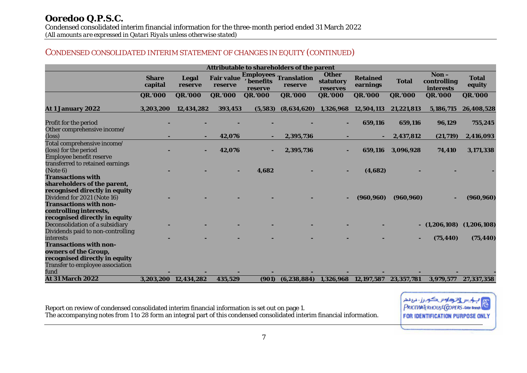# CONDENSED CONSOLIDATED INTERIM STATEMENT OF CHANGES IN EQUITY (CONTINUED)

|                                                |                         |                      |                              |                       | Attributable to shareholders of the parent |                                       |                             |              |                                              |                        |
|------------------------------------------------|-------------------------|----------------------|------------------------------|-----------------------|--------------------------------------------|---------------------------------------|-----------------------------|--------------|----------------------------------------------|------------------------|
|                                                | <b>Share</b><br>capital | Legal<br>reserve     | <b>Fair value</b><br>reserve | ' benefits<br>reserve | <b>Employees Translation</b><br>reserve    | <b>Other</b><br>statutory<br>reserves | <b>Retained</b><br>earnings | <b>Total</b> | $\mathbf{Non} -$<br>controlling<br>interests | <b>Total</b><br>equity |
|                                                | <b>QR.'000</b>          | <b>QR.'000</b>       | QR.'000                      | <b>QR.'000</b>        | <b>QR.'000</b>                             | QR.'000                               | <b>QR.'000</b>              | QR.'000      | QR.'000                                      | <b>QR.'000</b>         |
| <b>At 1 January 2022</b>                       | 3,203,200               | 12,434,282           | 393,453                      | (5,583)               | (8,634,620)                                | 1.326.968                             | 12,504,113                  | 21,221,813   | 5,186,715                                    | 26,408,528             |
| Profit for the period                          |                         |                      |                              |                       |                                            | ٠                                     | 659,116                     | 659,116      | 96,129                                       | 755,245                |
| Other comprehensive income/<br>$(\text{loss})$ |                         |                      | 42,076                       |                       | 2,395,736                                  |                                       |                             | 2,437,812    | (21,719)                                     | 2,416,093              |
| Total comprehensive income/                    |                         |                      |                              |                       |                                            |                                       |                             |              |                                              |                        |
| (loss) for the period                          |                         |                      | 42,076                       |                       | 2,395,736                                  |                                       | 659,116                     | 3,096,928    | 74,410                                       | 3,171,338              |
| Employee benefit reserve                       |                         |                      |                              |                       |                                            |                                       |                             |              |                                              |                        |
| transferred to retained earnings               |                         |                      |                              |                       |                                            |                                       |                             |              |                                              |                        |
| (Note 6)                                       |                         |                      |                              | 4.682                 |                                            |                                       | (4,682)                     |              |                                              |                        |
| <b>Transactions with</b>                       |                         |                      |                              |                       |                                            |                                       |                             |              |                                              |                        |
| shareholders of the parent,                    |                         |                      |                              |                       |                                            |                                       |                             |              |                                              |                        |
| recognised directly in equity                  |                         |                      |                              |                       |                                            |                                       |                             |              |                                              |                        |
| Dividend for 2021 (Note 16)                    |                         |                      |                              |                       |                                            |                                       | (960, 960)                  | (960, 960)   |                                              | (960, 960)             |
| <b>Transactions with non-</b>                  |                         |                      |                              |                       |                                            |                                       |                             |              |                                              |                        |
| controlling interests,                         |                         |                      |                              |                       |                                            |                                       |                             |              |                                              |                        |
| recognised directly in equity                  |                         |                      |                              |                       |                                            |                                       |                             |              |                                              |                        |
| Deconsolidation of a subsidiary                |                         |                      |                              |                       |                                            |                                       |                             |              | $-$ (1,206,108)                              | (1,206,108)            |
| Dividends paid to non-controlling              |                         |                      |                              |                       |                                            |                                       |                             |              |                                              |                        |
| <b>interests</b>                               |                         |                      |                              |                       |                                            |                                       |                             |              | (75, 440)                                    | (75, 440)              |
| <b>Transactions with non-</b>                  |                         |                      |                              |                       |                                            |                                       |                             |              |                                              |                        |
| owners of the Group,                           |                         |                      |                              |                       |                                            |                                       |                             |              |                                              |                        |
| recognised directly in equity                  |                         |                      |                              |                       |                                            |                                       |                             |              |                                              |                        |
| <b>Transfer to employee association</b>        |                         |                      |                              |                       |                                            |                                       |                             |              |                                              |                        |
| fund                                           |                         |                      |                              |                       |                                            |                                       |                             |              |                                              |                        |
| <b>At 31 March 2022</b>                        |                         | 3,203,200 12,434,282 | 435,529                      | (901)                 | (6, 238, 884)                              |                                       | 1,326,968 12,197,587        | 23,357,781   | 3,979,577                                    | 27.337.358             |

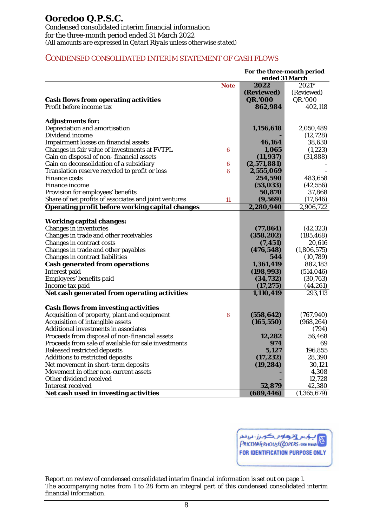# CONDENSED CONSOLIDATED INTERIM STATEMENT OF CASH FLOWS

|                                                        |             | For the three-month period<br>ended 31 March |             |
|--------------------------------------------------------|-------------|----------------------------------------------|-------------|
|                                                        | <b>Note</b> | 2022                                         | 2021*       |
|                                                        |             | (Reviewed)                                   | (Reviewed)  |
| <b>Cash flows from operating activities</b>            |             | <b>QR.'000</b>                               | QR.'000     |
| Profit before income tax                               |             | 862,984                                      | 402,118     |
|                                                        |             |                                              |             |
| <b>Adjustments for:</b>                                |             |                                              |             |
| Depreciation and amortisation                          |             | 1,156,618                                    | 2,050,489   |
| Dividend income                                        |             |                                              | (12, 728)   |
| <b>Impairment losses on financial assets</b>           |             | 46,164                                       | 38,630      |
| Changes in fair value of investments at FVTPL          | 6           | 1,065                                        | (1, 223)    |
| Gain on disposal of non-financial assets               |             | (11, 937)                                    | (31, 888)   |
| Gain on deconsolidation of a subsidiary                | 6           | (2,571,881)                                  |             |
| Translation reserve recycled to profit or loss         | 6           | 2,555,069                                    |             |
| <b>Finance costs</b>                                   |             | 254,590                                      | 483,658     |
| <b>Finance income</b>                                  |             | (53,033)                                     | (42, 556)   |
| Provision for employees' benefits                      |             | 50,870                                       | 37,868      |
| Share of net profits of associates and joint ventures  | 11          | (9, 569)                                     | (17, 646)   |
| <b>Operating profit before working capital changes</b> |             | 2,280,940                                    | 2,906,722   |
|                                                        |             |                                              |             |
| <b>Working capital changes:</b>                        |             |                                              |             |
| <b>Changes in inventories</b>                          |             | (77, 864)                                    | (42, 323)   |
| Changes in trade and other receivables                 |             | (358, 202)                                   | (185, 468)  |
| Changes in contract costs                              |             | (7, 451)                                     | 20,616      |
| Changes in trade and other payables                    |             | (476, 548)                                   | (1,806,575) |
| Changes in contract liabilities                        |             | 544                                          | (10, 789)   |
| <b>Cash generated from operations</b>                  |             | 1,361,419                                    | 882,183     |
| <b>Interest paid</b>                                   |             | (198, 993)                                   | (514, 046)  |
| Employees' benefits paid                               |             | (34, 732)                                    | (30, 763)   |
| Income tax paid                                        |             | (17, 275)                                    | (44, 261)   |
| Net cash generated from operating activities           |             | 1,110,419                                    | 293,113     |
|                                                        |             |                                              |             |
| <b>Cash flows from investing activities</b>            |             |                                              |             |
| Acquisition of property, plant and equipment           | 8           | (558, 642)                                   | (767, 940)  |
| Acquisition of intangible assets                       |             | (165, 550)                                   | (968, 264)  |
| <b>Additional investments in associates</b>            |             |                                              | (794)       |
| Proceeds from disposal of non-financial assets         |             | 12,282                                       | 56,468      |
| Proceeds from sale of available for sale investments   |             | 974                                          | 69          |
| Released restricted deposits                           |             | 5,127                                        | 196,855     |
| <b>Additions to restricted deposits</b>                |             | (17, 232)                                    | 28,390      |
| Net movement in short-term deposits                    |             | (19, 284)                                    | 30,121      |
| Movement in other non-current assets                   |             |                                              | 4,308       |
| Other dividend received                                |             |                                              | 12,728      |
| <b>Interest received</b>                               |             | 52,879                                       | 42,380      |
| Net cash used in investing activities                  |             | (689, 446)                                   | (1,365,679) |

بالحيس وترداوس كوبرز فرع فطر 愿 PRICEWATERHOUSE COPERS-Datar Branch FOR IDENTIFICATION PURPOSE ONLY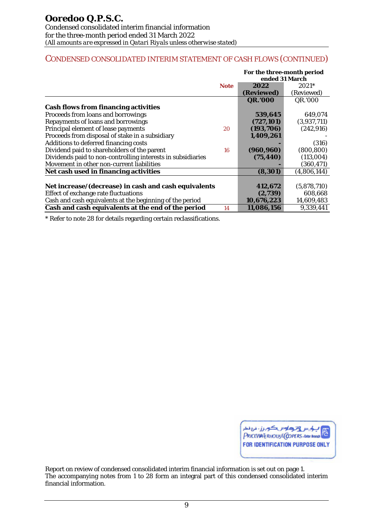# CONDENSED CONSOLIDATED INTERIM STATEMENT OF CASH FLOWS (CONTINUED)

|                                                             |             | For the three-month period<br>ended 31 March |             |
|-------------------------------------------------------------|-------------|----------------------------------------------|-------------|
|                                                             | <b>Note</b> | 2022                                         | $2021*$     |
|                                                             |             | (Reviewed)                                   | (Reviewed)  |
|                                                             |             | <b>QR.'000</b>                               | QR.'000     |
| <b>Cash flows from financing activities</b>                 |             |                                              |             |
| Proceeds from loans and borrowings                          |             | 539,645                                      | 649,074     |
| Repayments of loans and borrowings                          |             | (727, 101)                                   | (3,937,711) |
| Principal element of lease payments                         | 20          | (193, 706)                                   | (242, 916)  |
| Proceeds from disposal of stake in a subsidiary             |             | 1,409,261                                    |             |
| Additions to deferred financing costs                       |             |                                              | (316)       |
| Dividend paid to shareholders of the parent                 | 16          | (960, 960)                                   | (800, 800)  |
| Dividends paid to non-controlling interests in subsidiaries |             | (75, 440)                                    | (113,004)   |
| Movement in other non-current liabilities                   |             |                                              | (360, 471)  |
| Net cash used in financing activities                       |             | (8, 301)                                     | (4,806,144) |
|                                                             |             |                                              |             |
| Net increase/(decrease) in cash and cash equivalents        |             | 412,672                                      | (5,878,710) |
| Effect of exchange rate fluctuations                        |             | (2,739)                                      | 608,668     |
| Cash and cash equivalents at the beginning of the period    |             | 10,676,223                                   | 14,609,483  |
| Cash and cash equivalents at the end of the period          | 14          | 11,086,156                                   | 9,339,441   |

\* Refer to note 28 for details regarding certain reclassifications.

<mark>ب کوبر رونز دیا ہے سرز - ذرع ذعار</mark><br>PRICEVIATERHOUSE(COPERS - Outer Branch FOR IDENTIFICATION PURPOSE ONLY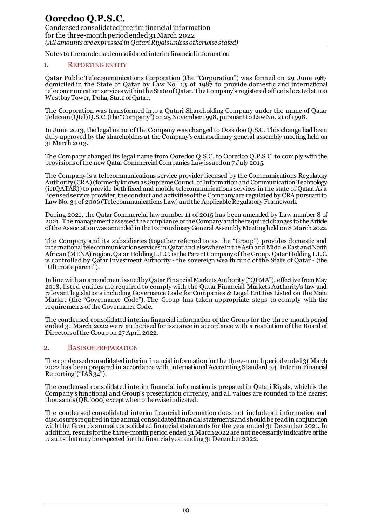#### 1. REPORTING ENTITY

Qatar Public Telecommunications Corporation (the "Corporation") was formed on 29 June 1987 domiciled in the State of Qatar by Law No. 13 of 1987 to provide domestic and international telecommunication services within the State of Qatar. The Company's registered office is located at 100 Westbay Tower, Doha, State of Qatar.

The Corporation was transformed into a Qatari Shareholding Company under the name of Qatar Telecom (Qtel) Q.S.C. (the "Company") on 25 November 1998, pursuant to Law No. 21 of 1998.

In June 2013, the legal name of the Company was changed to Ooredoo Q.S.C. This change had been duly approved by the shareholders at the Company's extraordinary general assembly meeting held on 31 March 2013.

The Company changed its legal name from Ooredoo Q.S.C. to Ooredoo Q.P.S.C. to comply with the provisions of the new Qatar Commercial Companies Law issued on 7 July 2015.

The Company is a telecommunications service provider licensed by the Communications Regulatory Authority (CRA) (formerly known as Supreme Council of Information and Communication Technology (ictQATAR)) to provide both fixed and mobile telecommunications services in the state of Qatar. As a licensedservice provider, the conduct and activities of the Company are regulated by CRA pursuant to Law No. 34 of 2006 (Telecommunications Law) and the Applicable Regulatory Framework.

During 2021, the Qatar Commercial law number 11 of 2015 has been amended by Law number 8 of 2021. The management assessed the compliance of the Company and the required changes to the Article of the Association was amended in the Extraordinary General Assembly Meeting held on 8 March 2022.

The Company and its subsidiaries (together referred to as the "Group") provides domestic and international telecommunication services in Qatar and elsewhere in the Asia and Middle East and North African (MENA) region. Qatar Holding L.L.C. is the Parent Company of the Group. Qatar Holding L.L.C. is controlled by Qatar Investment Authority - the sovereign wealth fund of the State of Qatar - (the "Ultimate parent").

In line with an amendment issued by Qatar Financial Markets Authority ("QFMA"), effective from May 2018, listed entities are required to comply with the Qatar Financial Markets Authority's law and relevant legislations including Governance Code for Companies & Legal Entities Listed on the Main Market (the "Governance Code"). The Group has taken appropriate steps to comply with the requirements of the Governance Code.

The condensed consolidated interim financial information of the Group for the three-month period ended 31 March 2022 were authorised for issuance in accordance with a resolution of the Board of Directorsof the Group on 27 April 2022.

#### 2. BASIS OF PREPARATION

The condensed consolidated interim financial information for the three-month period ended 31 March 2022 has been prepared in accordance with International Accounting Standard 34 'Interim Financial Reporting'(" $[AA\$  $34"$ ).

The condensed consolidated interim financial information is prepared in Qatari Riyals, which is the Company's functional and Group's presentation currency, and all values are rounded to the nearest thousands (QR.'000) except when otherwise indicated.

The condensed consolidated interim financial information does not include all information and disclosures required in the annual consolidated financial statements and should be read in conjunction with the Group's annual consolidated financial statements for the year ended 31 December 2021. In addition, results for the three-month period ended 31 March 2022 are not necessarily indicative of the results that may be expected for the financial year ending 31 December 2022.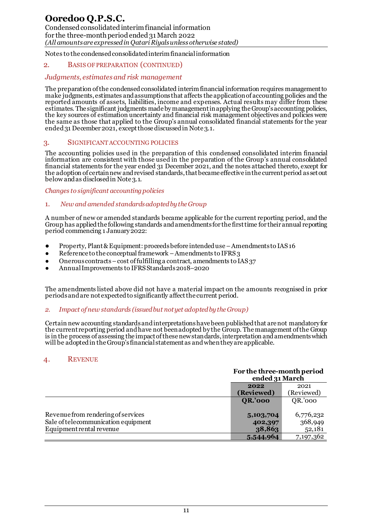# **Ooredoo Q.P.S.C.**

Condensed consolidated interim financial information for the three-month period ended 31 March 2022 *(All amounts are expressed in Qatari Riyals unless otherwise stated)*

Notes to the condensed consolidated interim financial information

#### 2. BASIS OF PREPARATION (CONTINUED)

### *Judgments, estimates and risk management*

The preparation of the condensed consolidated interim financial information requires management to make judgments, estimates and assumptions that affects the application of accounting policies and the reported amounts of assets, liabilities, income and expenses. Actual results may differ from these estimates. The significant judgments made by management in applying the Group's accounting policies, the key sources of estimation uncertainty and financial risk management objectives and policies were the same as those that applied to the Group's annual consolidated financial statements for the year ended 31 December 2021, except those discussed in Note 3.1.

#### 3. SIGNIFICANT ACCOUNTING POLICIES

The accounting policies used in the preparation of this condensed consolidated interim financial information are consistent with those used in the preparation of the Group's annual consolidated financial statements for the year ended 31 December 2021, and the notes attached thereto, except for the adoption of certain new and revised standards, that became effective in the current period as set out below and as disclosed in Note 3.1.

#### *Changes to significant accounting policies*

# 1. *New and amended standards adopted by the Group*

A number of new or amended standards became applicable for the current reporting period, and the Group has applied the following standards and amendments for the first time for their annual reporting period commencing 1 January 2022:

- Property, Plant & Equipment: proceeds before intended use –Amendments to IAS 16
- Reference to the conceptual framework Amendments to IFRS  $3$
- Onerous contracts cost of fulfilling a contract, amendments to  $IAS$  37
- Annual Improvements to IFRS Standards 2018–2020

The amendments listed above did not have a material impact on the amounts recognised in prior periods and are not expected to significantly affect the current period.

#### *2. Impact of new standards (issued but not yet adopted by the Group)*

Certain new accounting standards and interpretations have been published that are not mandatory for the current reporting period and have not been adopted by the Group. The management of the Group is in the process of assessing the impact of these new standards, interpretation and amendments which will be adopted in the Group's financial statement as and when they are applicable.

# 4. REVENUE

|                                     | For the three-month period<br>ended 31 March |            |
|-------------------------------------|----------------------------------------------|------------|
|                                     | 2021<br>2022                                 |            |
|                                     | (Reviewed)                                   | (Reviewed) |
|                                     | <b>QR.'000</b>                               | QR.'000    |
|                                     |                                              |            |
| Revenue from rendering of services  | 5,103,704                                    | 6,776,232  |
| Sale of telecommunication equipment | 402,397                                      | 368,949    |
| Equipment rental revenue            | 38,863                                       | 52,181     |
|                                     | 5,544,964                                    | 7,197,362  |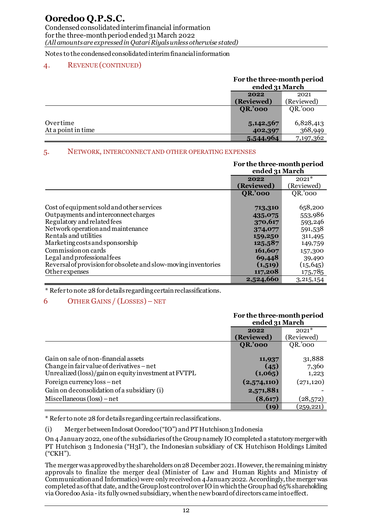Condensed consolidated interim financial information for the three-month period ended 31 March 2022 *(All amounts are expressed in Qatari Riyals unless otherwise stated)*

Notes to the condensed consolidated interim financial information

# 4. REVENUE (CONTINUED)

## **For the three-month period <u>ended 31 March</u> 2022 (Reviewed)** (Reviewed) **QR.'000** QR.'000 Over time 5,142,567 6,828,413<br>At a point in time 402,397 368,949 At a point in time **402,397 5,544,964** 7,197,362

# 5. NETWORK, INTERCONNECT AND OTHER OPERATING EXPENSES

|                                                                | For the three-month period<br>ended 31 March |             |
|----------------------------------------------------------------|----------------------------------------------|-------------|
|                                                                | 2022                                         | $2021*$     |
|                                                                | (Reviewed)                                   | (Reviewed)  |
|                                                                | <b>QR.'000</b>                               | QR.'000     |
|                                                                |                                              |             |
| Cost of equipment sold and other services                      | 713,310                                      | 658,200     |
| Outpayments and interconnect charges                           | 435,075                                      | 553,986     |
| Regulatory and related fees                                    | 370,617                                      | 593,246     |
| Network operation and maintenance                              | 374,077                                      | 591,538     |
| Rentals and utilities                                          | 159,250                                      | 311,495     |
| Marketing costs and sponsorship                                | 125,587                                      | 149,759     |
| Commission on cards                                            | 161,607                                      | 157,300     |
| Legal and professional fees                                    | 69,448                                       | 39,490      |
| Reversal of provision for obsolete and slow-moving inventories | (1,519)                                      | (15, 645)   |
| Other expenses                                                 | 117,208                                      | 175,785     |
|                                                                | 2,524,660                                    | 3, 215, 154 |

\* Refer to note 28 for details regarding certain reclassifications.

# 6 OTHER GAINS / (LOSSES) – NET

|                                                                                                                                           | For the three-month period<br>ended 31 March |                          |
|-------------------------------------------------------------------------------------------------------------------------------------------|----------------------------------------------|--------------------------|
|                                                                                                                                           | 2022                                         | $2021*$                  |
|                                                                                                                                           | (Reviewed)                                   | (Reviewed)               |
|                                                                                                                                           | <b>QR.'000</b>                               | QR.'000                  |
| Gain on sale of non-financial assets<br>Change in fair value of derivatives – net<br>Unrealized (loss)/gain on equity investment at FVTPL | 11,937<br>(45)<br>(1,065)                    | 31,888<br>7,360<br>1,223 |
| Foreign currency loss – net                                                                                                               | (2,574,110)                                  | (271, 120)               |
| Gain on deconsolidation of a subsidiary (i)                                                                                               | 2,571,881                                    |                          |
| Miscellaneous $(\text{loss})$ – net                                                                                                       | (8,617)                                      | (28, 572)                |
|                                                                                                                                           | (19)                                         | $\left( 259,221\right)$  |

\* Refer to note 28 for details regarding certain reclassifications.

(i) Merger between Indosat Ooredoo ("IO") and PT Hutchison 3 Indonesia

On 4 January 2022, one of the subsidiaries of the Group namely IO completed a statutory merger with PT Hutchison 3 Indonesia ("H3I"), the Indonesian subsidiary of CK Hutchison Holdings Limited ("CKH").

The merger was approved by the shareholders on 28 December 2021. However, the remaining ministry approvals to finalize the merger deal (Minister of Law and Human Rights and Ministry of Communication and Informatics) were only received on 4 January 2022. Accordingly, the merger was completed as of that date, and the Group lost control over IO in which the Group had 65% shareholding via Ooredoo Asia -its fully owned subsidiary, when the new board of directors came into effect.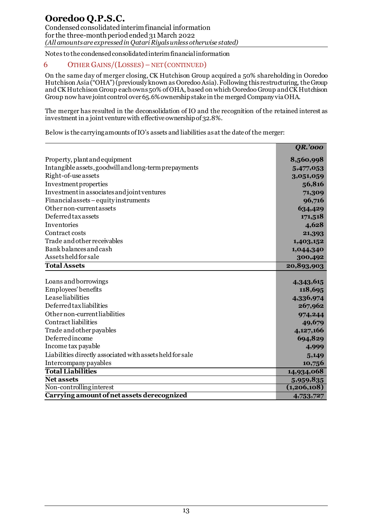# 6 OTHER GAINS/(LOSSES)– NET (CONTINUED)

On the same day of merger closing, CK Hutchison Group acquired a 50% shareholding in Ooredoo Hutchison Asia ("OHA")(previously known as Ooredoo Asia). Following this restructuring, theGroup and CK Hutchison Group each owns50% of OHA, based on which Ooredoo Group and CK Hutchison Group now have joint control over 65.6% ownership stake in the merged Company via OHA.

The merger has resulted in the deconsolidation of IO and the recognition of the retained interest as investment in a joint venture with effective ownership of 32.8%.

Below is the carrying amounts of IO's assets and liabilities as at the date of the merger:

|                                                                        | <b>QR.'000</b> |
|------------------------------------------------------------------------|----------------|
| Property, plant and equipment                                          | 8,560,998      |
| Intangible assets, goodwill and long-term prepayments                  | 5,477,053      |
| Right-of-use assets                                                    | 3,051,059      |
| Investment properties                                                  | 56,816         |
| Investment in associates and joint ventures                            | 71,309         |
| Financialassets-equityinstruments                                      | 96,716         |
| Other non-current assets                                               | 634,429        |
| Deferred tax assets                                                    | 171,518        |
| Inventories                                                            | 4,628          |
| Contract costs                                                         | 21,393         |
| Trade and other receivables                                            | 1,403,152      |
| <b>Bankbalances and cash</b>                                           | 1,044,340      |
| Assetsheldforsale                                                      | 300,492        |
| <b>Total Assets</b>                                                    | 20,893,903     |
|                                                                        |                |
| Loans and borrowings                                                   | 4,343,615      |
| Employees' benefits                                                    | 118,695        |
| <b>Lease</b> liabilities                                               | 4,336,974      |
| Deferred taxliabilities                                                | 267,962        |
| Other non-current liabilities                                          | 974,244        |
| Contract liabilities                                                   | 49,679         |
| Trade and other payables                                               | 4,127,166      |
| Deferred income                                                        | 694,829        |
| Income tax payable                                                     | 4,999          |
| Liabilities directly associated with assets held for sale              | 5,149          |
| <b>Intercompany payables</b>                                           | 10,756         |
| <b>Total Liabilities</b>                                               |                |
|                                                                        | 14,934,068     |
| <b>Net assets</b>                                                      | 5,959,835      |
| Non-controlling interest<br>Carrying amount of net assets derecognized | (1,206,108)    |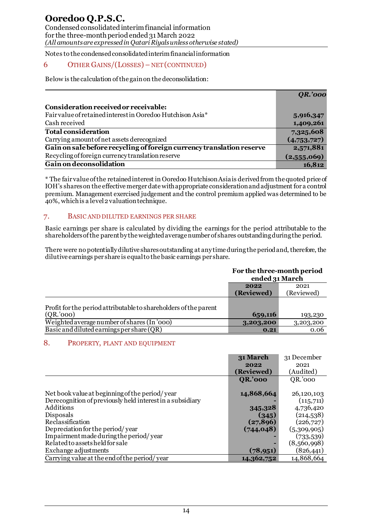# 6 OTHER GAINS/(LOSSES)– NET (CONTINUED)

Below is the calculation of the gain on the deconsolidation:

|                                                                       | <b>QR.'000</b> |
|-----------------------------------------------------------------------|----------------|
| Consideration received or receivable:                                 |                |
| Fair value of retained interest in Ooredoo Hutchison Asia*            | 5,916,347      |
| Cash received                                                         | 1,409,261      |
| <b>Total consideration</b>                                            | 7,325,608      |
| Carrying amount of net assets derecognized                            | (4,753,727)    |
| Gain on sale before recycling of foreign currency translation reserve | 2,571,881      |
| Recycling of foreign currency translation reserve                     | (2,555,069)    |
| Gain on deconsolidation                                               | 16,812         |

\* The fair value of the retained interest in Ooredoo HutchisonAsia is derived from the quoted price of IOH's shares on the effective merger date with appropriate consideration and adjustment for a control premium. Management exercised judgement and the control premium applied was determined to be 40%, which is a level 2 valuation technique.

# 7. BASIC AND DILUTED EARNINGS PER SHARE

Basic earnings per share is calculated by dividing the earnings for the period attributable to the shareholders of the parent by the weighted average number of shares outstanding during the period.

There were no potentially dilutive shares outstanding at any time during the period and, therefore, the dilutive earnings per share is equal to the basic earnings per share.

|                                                                  | For the three-month period<br>ended 31 March |            |
|------------------------------------------------------------------|----------------------------------------------|------------|
|                                                                  | 2022                                         | 2021       |
|                                                                  | (Reviewed)                                   | (Reviewed) |
| Profit for the period attributable to shareholders of the parent |                                              |            |
| (QR, 000)                                                        | 659,116                                      | 193,230    |
| Weighted average number of shares (In '000)                      | 3,203,200                                    | 3,203,200  |
| Basic and diluted earnings per share $(QR)$                      | 0.21                                         | 0.06       |

# 8. PROPERTY, PLANT AND EQUIPMENT

|                                                           | 31 March       | 31 December |
|-----------------------------------------------------------|----------------|-------------|
|                                                           | 2022           | 2021        |
|                                                           | (Reviewed)     | (Audited)   |
|                                                           | <b>QR.'000</b> | QR.'000     |
|                                                           |                |             |
| Net book value at beginning of the period/year            | 14,868,664     | 26,120,103  |
| Derecognition of previously held interest in a subsidiary |                | (115,711)   |
| Additions                                                 | 345,328        | 4,736,420   |
| Disposals                                                 | (345)          | (214,538)   |
| Reclassification                                          | (27, 896)      | (226, 727)  |
| Depreciation for the period/year                          | (744, 048)     | (5,309,905) |
| Impairment made during the period/year                    |                | (733,539)   |
| Related to assets held for sale                           |                | (8,560,998) |
| Exchange adjustments                                      | (78, 951)      | (826, 441)  |
| Carrying value at the end of the period/year              | 14,362,752     | 14,868,664  |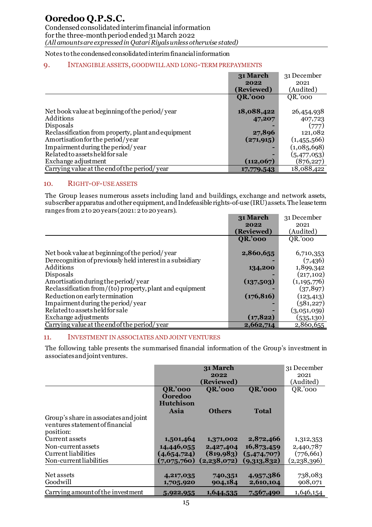for the three-month period ended 31 March 2022 *(All amounts are expressed in Qatari Riyals unless otherwise stated)*

# Notes to the condensed consolidated interim financial information

### 9. INTANGIBLE ASSETS, GOODWILL AND LONG-TERM PREPAYMENTS

|                                                     | 31 March       | 31 December |
|-----------------------------------------------------|----------------|-------------|
|                                                     | 2022           | 2021        |
|                                                     | (Reviewed)     | (Audited)   |
|                                                     | <b>QR.'000</b> | QR.'000     |
|                                                     |                |             |
| Net book value at beginning of the period/year      | 18,088,422     | 26,454,938  |
| Additions                                           | 47,207         | 407,723     |
| Disposals                                           |                | (777)       |
| Reclassification from property, plant and equipment | 27,896         | 121,082     |
| Amortisation for the period/year                    | (271, 915)     | (1,455,566) |
| Impairment during the period/year                   | -              | (1,085,698) |
| Related to assets held for sale                     | -              | (5,477,053) |
| Exchange adjustment                                 | (112,067)      | (876, 227)  |
| Carrying value at the end of the period/ year       | 17,779,543     | 18,088,422  |

#### 10. RIGHT-OF-USE ASSETS

The Group leases numerous assets including land and buildings, exchange and network assets, subscriber apparatus and other equipment, and Indefeasible rights-of-use (IRU) assets. The lease term ranges from 2 to 20 years (2021: 2 to 20 years).

|                                                           | 31 March       | 31 December   |
|-----------------------------------------------------------|----------------|---------------|
|                                                           | 2022           | 2021          |
|                                                           | (Reviewed)     | (Audited)     |
|                                                           | <b>QR.'000</b> | QR.'000       |
|                                                           |                |               |
| Net book value at beginning of the period/year            | 2,860,655      | 6,710,353     |
| Derecognition of previously held interest in a subsidiary |                | (7,436)       |
| Additions                                                 | 134,200        | 1,899,342     |
| Disposals                                                 |                | (217, 102)    |
| Amortisation during the period/year                       | (137,503)      | (1, 195, 776) |
| Reclassification from/(to) property, plant and equipment  |                | (37, 897)     |
| Reduction on early termination                            | (176, 816)     | (123, 413)    |
| Impairment during the period/year                         |                | (581, 227)    |
| Related to assets held for sale                           |                | (3,051,059)   |
| Exchange adjustments                                      | (17, 822)      | (535, 130)    |
| Carrying value at the end of the period/year              | 2,662,714      | 2,860,655     |

#### 11. INVESTMENT IN ASSOCIATES AND JOINT VENTURES

The following table presents the summarised financial information of the Group's investment in associates and joint ventures.

|                                       |                  | 31 March       |                | 31 December |
|---------------------------------------|------------------|----------------|----------------|-------------|
|                                       |                  | 2022           |                | 2021        |
|                                       |                  | (Reviewed)     |                | (Audited)   |
|                                       | <b>QR.'000</b>   | <b>QR.'000</b> | <b>QR.'000</b> | QR.'000     |
|                                       | Ooredoo          |                |                |             |
|                                       | <b>Hutchison</b> |                |                |             |
|                                       | Asia             | <b>Others</b>  | <b>Total</b>   |             |
| Group's share in associates and joint |                  |                |                |             |
| ventures statement of financial       |                  |                |                |             |
| position:                             |                  |                |                |             |
| Current assets                        | 1,501,464        | 1,371,002      | 2,872,466      | 1,312,353   |
| Non-current assets                    | 14,446,055       | 2,427,404      | 16,873,459     | 2,440,787   |
| Current liabilities                   | (4,654,724)      | (819, 983)     | (5,474,707)    | (776, 661)  |
| Non-current liabilities               | (7,075,760)      | (2,238,072)    | (9,313,832)    | (2,238,396) |
|                                       |                  |                |                |             |
| Net assets                            | 4,217,035        | 740,351        | 4,957,386      | 738,083     |
| Goodwill                              | 1,705,920        | 904,184        | 2,610,104      | 908,071     |
| Carrying amount of the investment     | 5,922,955        | 1,644,535      | 7,567,490      | 1,646,154   |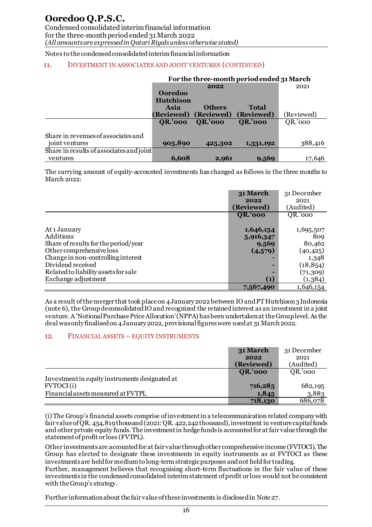# **Ooredoo Q.P.S.C.**

Condensed consolidated interim financial information for the three-month period ended 31 March 2022 *(All amounts are expressed in Qatari Riyals unless otherwise stated)*

Notes to the condensed consolidated interim financial information

#### 11. INVESTMENT IN ASSOCIATES AND JOINT VENTURES (CONTINUED)

|                                          | For the three-month period ended 31 March |                |                |            |
|------------------------------------------|-------------------------------------------|----------------|----------------|------------|
|                                          |                                           | 2022           |                | 2021       |
|                                          | <b>Ooredoo</b>                            |                |                |            |
|                                          | <b>Hutchison</b>                          |                |                |            |
|                                          | Asia                                      | <b>Others</b>  | <b>Total</b>   |            |
|                                          | (Reviewed)                                | (Reviewed)     | (Reviewed)     | (Reviewed) |
|                                          | <b>QR.'000</b>                            | <b>QR.'000</b> | <b>QR.'000</b> | QR.'000    |
|                                          |                                           |                |                |            |
| Share in revenues of associates and      |                                           |                |                |            |
| joint ventures                           | 905,890                                   | 425,302        | 1,331,192      | 388,416    |
| Share in results of associates and joint |                                           |                |                |            |
| ventures                                 | 6,608                                     | 2,961          | 9,569          | 17,646     |

The carrying amount of equity-accounted investments has changed as follows in the three months to March 2022:

|                                      | 31 March          | 31 December |
|--------------------------------------|-------------------|-------------|
|                                      | 2022              | 2021        |
|                                      | (Reviewed)        | (Audited)   |
|                                      | <b>QR.'000</b>    | QR.'000     |
|                                      |                   |             |
| At 1 January                         | 1,646,154         | 1,695,507   |
| Additions                            | 5,916,347         | 809         |
| Share of results for the period/year | 9,569             | 80,462      |
| Other comprehensive loss             | (4,579)           | (40,425)    |
| Change in non-controlling interest   |                   | 1,348       |
| Dividend received                    | -                 | (18, 854)   |
| Related to liability assets for sale |                   | (71, 309)   |
| Exchange adjustment                  | $\left( 1\right)$ | (1,384)     |
|                                      | 7,567,490         | 1,646,154   |

As a result of the merger that took place on 4 January 2022 between IO and PT Hutchison 3 Indonesia (note 6), the Group deconsolidated IO and recognized the retained interest as an investment in a joint venture. A 'Notional Purchase Price Allocation' (NPPA) has been undertaken at the Group level. As the deal was only finalised on 4 January 2022, provisional figures were used at 31 March 2022.

#### 12. FINANCIAL ASSETS – EQUITY INSTRUMENTS

|                                                | 31 March       | 31 December |
|------------------------------------------------|----------------|-------------|
|                                                | 2022           | 2021        |
|                                                | (Reviewed)     | (Audited)   |
|                                                | <b>QR.'000</b> | QR.'000     |
| Investment in equity instruments designated at |                |             |
| <b>FVTOCI</b> (i)                              | 716,285        | 682,195     |
| Financial assets measured at FVTPL             | 1,845          | 3,883       |
|                                                | 718,130        | 686,078     |

(i) The Group's financial assets comprise of investment in a telecommunication related company with fair value of QR. 434,819thousand (2021: QR. 422,242 thousand), investment in venture capital funds and other private equity funds. The investment in hedge funds is accounted for at fair value through the statement of profit or loss (FVTPL).

Other investments are accounted for at fair value through other comprehensive income (FVTOCI). The Group has elected to designate these investments in equity instruments as at FVTOCI as these investments are held for medium to long-term strategic purposes and not held for trading.

Further, management believes that recognising short-term fluctuations in the fair value of these investments in the condensed consolidated interim statement of profit or loss would not be consistent with the Group's strategy.

Further information about the fair value of these investments is disclosed in Note 27.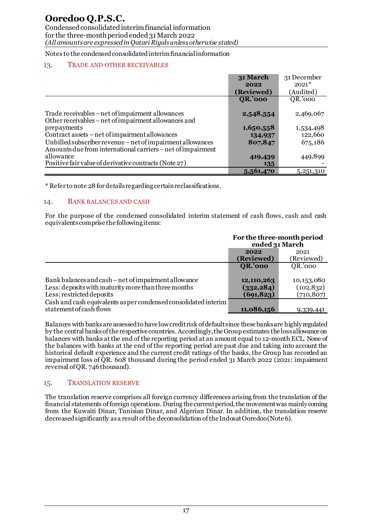# 13. TRADE AND OTHER RECEIVABLES

|                                                             | 31 March       | 31 December |
|-------------------------------------------------------------|----------------|-------------|
|                                                             | 2022           | $2021*$     |
|                                                             | (Reviewed)     | (Audited)   |
|                                                             | <b>QR.'000</b> | QR.'000     |
|                                                             |                |             |
| Trade receivables – net of impairment allowances            | 2,548,554      | 2,469,067   |
| Other receivables – net of impairment allowances and        |                |             |
| prepayments                                                 | 1,650,558      | 1,534,498   |
| Contract assets – net of impairment allowances              | 134,937        | 122,660     |
| Unbilled subscriber revenue - net of impairment allowances  | 807,847        | 675,186     |
| Amounts due from international carriers – net of impairment |                |             |
| allowance                                                   | 419,439        | 449,899     |
| Positive fair value of derivative contracts (Note 27)       | 135            |             |
|                                                             | 5,561,470      | 5,251,310   |

\* Refer to note 28 fordetails regarding certain reclassifications.

# 14. BANK BALANCES AND CASH

For the purpose of the condensed consolidated interim statement of cash flows, cash and cash equivalents comprise the following items:

|                                                                                                                                          | For the three-month period<br>ended 31 March |                                        |
|------------------------------------------------------------------------------------------------------------------------------------------|----------------------------------------------|----------------------------------------|
|                                                                                                                                          | 2022<br>(Reviewed)                           | 2021<br>(Reviewed)                     |
|                                                                                                                                          | <b>QR.'000</b>                               | QR.'000                                |
| Bank balances and cash – net of impairment allowance<br>Less: deposits with maturity more than three months<br>Less: restricted deposits | 12,110,263<br>(332, 284)<br>(691, 823)       | 10,153,080<br>(102, 832)<br>(710, 807) |
| Cash and cash equivalents as per condensed consolidated interim<br>statement of cash flows                                               | 11,086,156                                   | 9,339,441                              |

Balances with banks are assessed to have low credit risk of default since these banks are highly regulated by the central banks of the respective countries.Accordingly, the Group estimates the loss allowance on balances with banks at the end of the reporting period at an amount equal to 12-month ECL. None of the balances with banks at the end of the reporting period are past due and taking into account the historical default experience and the current credit ratings of the banks, the Group has recorded an impairment loss of OR, 608 thousand during the period ended 31 March 2022 (2021: impairment reversal of QR. 746 thousand).

# 15. TRANSLATION RESERVE

The translation reserve comprises all foreign currency differences arising from the translation of the financial statements of foreign operations. During the current period, the movement was mainly coming from the Kuwaiti Dinar, Tunisian Dinar, and Algerian Dinar. In addition, the translation reserve decreased significantly as a result of the deconsolidation of the Indosat Ooredoo (Note 6).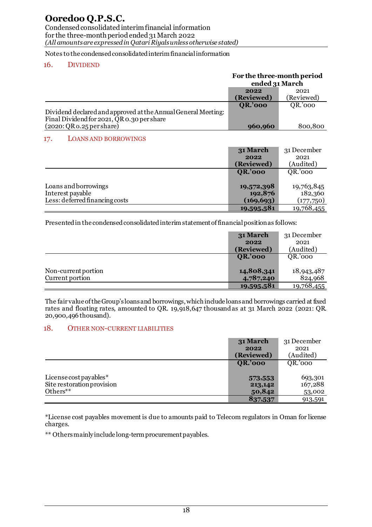Condensed consolidated interim financial information for the three-month period ended 31 March 2022 *(All amounts are expressed in Qatari Riyals unless otherwise stated)*

Notes to the condensed consolidated interim financial information

# 16. DIVIDEND

|                                                                                                             | For the three-month period<br>ended 31 March |             |
|-------------------------------------------------------------------------------------------------------------|----------------------------------------------|-------------|
|                                                                                                             | 2022                                         | 2021        |
|                                                                                                             | (Reviewed)                                   | (Reviewed)  |
|                                                                                                             | <b>QR.'000</b>                               | QR.'000     |
| Dividend declared and approved at the Annual General Meeting:<br>Final Dividend for 2021, QR 0.30 per share |                                              |             |
| (2020:QR <sub>0.25</sub> pershare)                                                                          | 960,960                                      | 800,800     |
| <b>LOANS AND BORROWINGS</b><br>17.                                                                          |                                              |             |
|                                                                                                             | 31 March                                     | 31 December |
|                                                                                                             | 2022                                         | 2021        |
|                                                                                                             | (Reviewed)                                   | (Audited)   |
|                                                                                                             | <b>QR.'000</b>                               | QR.'000     |
|                                                                                                             |                                              |             |
| Loans and borrowings                                                                                        | 19,572,398                                   | 19,763,845  |
| Interest payable                                                                                            | 192,876                                      | 182,360     |
| Less: deferred financing costs                                                                              | (169, 693)                                   | (177,750)   |
|                                                                                                             | 19,595,581                                   | 19,768,455  |

Presented in the condensed consolidated interim statement of financial position as follows:

|                                        | 31 March                | 31 December           |
|----------------------------------------|-------------------------|-----------------------|
|                                        | 2022<br>(Reviewed)      | 2021<br>(Audited)     |
|                                        | <b>QR.'000</b>          | QR.'000               |
| Non-current portion<br>Current portion | 14,808,341<br>4,787,240 | 18,943,487<br>824,968 |
|                                        | 19,595,581              | 19,768,455            |

The fair value of the Group's loans and borrowings, which include loans and borrowings carried at fixed rates and floating rates, amounted to QR. 19,918,647 thousandas at 31 March 2022 (2021: QR. 20,900,496thousand).

# 18. OTHER NON-CURRENT LIABILITIES

|                            | 31 March       | 31 December |
|----------------------------|----------------|-------------|
|                            | 2022           | 2021        |
|                            | (Reviewed)     | (Audited)   |
|                            | <b>QR.'000</b> | QR.'000     |
|                            |                |             |
| License cost payables $*$  | 573,553        | 693,301     |
| Site restoration provision | 213,142        | 167,288     |
| Others**                   | 50,842         | 53,002      |
|                            | 837,537        | 913,591     |

\*License cost payables movement is due to amounts paid to Telecom regulators in Oman for license charges.

\*\* Others mainly include long-term procurement payables.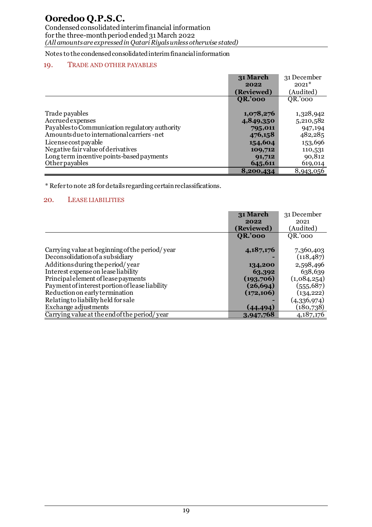# **Ooredoo Q.P.S.C.**

Condensed consolidated interim financial information for the three-month period ended 31 March 2022 *(All amounts are expressed in Qatari Riyals unless otherwise stated)*

Notes to the condensed consolidated interim financial information

# 19. TRADE AND OTHER PAYABLES

|                                                | 31 March       | 31 December |
|------------------------------------------------|----------------|-------------|
|                                                | 2022           | $2021*$     |
|                                                | (Reviewed)     | (Audited)   |
|                                                | <b>QR.'000</b> | QR.'000     |
|                                                |                |             |
| Trade payables                                 | 1,078,276      | 1,328,942   |
| Accruedexpenses                                | 4,849,350      | 5,210,582   |
| Payables to Communication regulatory authority | 795,011        | 947,194     |
| Amounts due to international carriers -net     | 476,158        | 482,285     |
| License cost payable                           | 154,604        | 153,696     |
| Negative fair value of derivatives             | 109,712        | 110,531     |
| Long term incentive points-based payments      | 91,712         | 90,812      |
| Other payables                                 | 645,611        | 619,014     |
|                                                | 8,200,434      | 8,943,056   |

\* Refer to note 28 for details regarding certain reclassifications.

#### 20. LEASE LIABILITIES

|                                                | 31 March       | 31 December |
|------------------------------------------------|----------------|-------------|
|                                                | 2022           | 2021        |
|                                                | (Reviewed)     | (Audited)   |
|                                                | <b>QR.'000</b> | QR.'000     |
|                                                |                |             |
| Carrying value at beginning of the period/year | 4,187,176      | 7,360,403   |
| Deconsolidation of a subsidiary                |                | (118, 487)  |
| Additions during the period/year               | 134,200        | 2,598,496   |
| Interest expense on lease liability            | 63,392         | 638,639     |
| Principal element of lease payments            | (193,706)      | (1,084,254) |
| Payment of interest portion of lease liability | (26, 694)      | (555, 687)  |
| Reduction on early termination                 | (172, 106)     | (134, 222)  |
| Relating to liability held for sale            |                | (4,336,974) |
| Exchange adjustments                           | (44, 494)      | (180, 738)  |
| Carrying value at the end of the period/year   | 3,947,768      | 4, 187, 176 |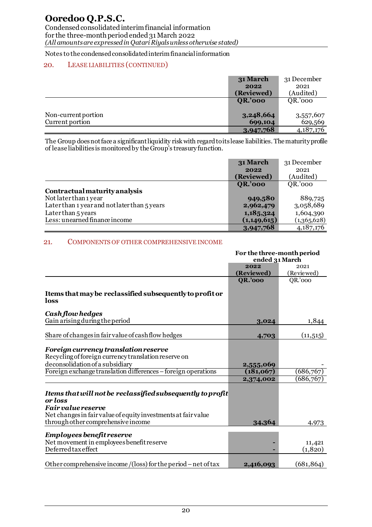# **Ooredoo Q.P.S.C.**

Condensed consolidated interim financial information for the three-month period ended 31 March 2022 *(All amounts are expressed in Qatari Riyals unless otherwise stated)*

Notes to the condensed consolidated interim financial information

# 20. LEASE LIABILITIES (CONTINUED)

|                     | 31 March       | 31 December |
|---------------------|----------------|-------------|
|                     | 2022           | 2021        |
|                     | (Reviewed)     | (Audited)   |
|                     | <b>QR.'000</b> | QR.'000     |
|                     |                |             |
| Non-current portion | 3,248,664      | 3,557,607   |
| Current portion     | 699,104        | 629,569     |
|                     | 3,947,768      | 4, 187, 176 |

The Group does not face a significant liquidity risk with regard to its lease liabilities. The maturity profile of lease liabilities is monitored by the Group's treasury function.

|                                              | 31 March       | 31 December |
|----------------------------------------------|----------------|-------------|
|                                              | 2022           | 2021        |
|                                              | (Reviewed)     | (Audited)   |
|                                              | <b>QR.'000</b> | QR.'000     |
| Contractual maturity analysis                |                |             |
| Not later than 1 year                        | 949,580        | 889,725     |
| Later than 1 year and not later than 5 years | 2,962,479      | 3,058,689   |
| Later than 5 years                           | 1,185,324      | 1,604,390   |
| Less: unearned finance income                | (1, 149, 615)  | (1,365,628) |
|                                              | 3,947,768      | 4, 187, 176 |

### 21. COMPONENTS OF OTHER COMPREHENSIVE INCOME

|                                                                                                                                                                                                           | For the three-month period |                   |
|-----------------------------------------------------------------------------------------------------------------------------------------------------------------------------------------------------------|----------------------------|-------------------|
|                                                                                                                                                                                                           | ended 31 March             |                   |
|                                                                                                                                                                                                           | 2022                       | 2021              |
|                                                                                                                                                                                                           | (Reviewed)                 | (Reviewed)        |
|                                                                                                                                                                                                           | <b>QR.'000</b>             | QR'000            |
| Items that may be reclassified subsequently to profit or<br>loss                                                                                                                                          |                            |                   |
| Cash flow hedges                                                                                                                                                                                          |                            |                   |
| Gain arising during the period                                                                                                                                                                            | 3,024                      | 1,844             |
|                                                                                                                                                                                                           |                            |                   |
| Share of changes in fair value of cash flow hedges                                                                                                                                                        | 4,703                      | (11, 515)         |
| Foreign currency translation reserve<br>Recycling of foreign currency translation reserve on<br>deconsolidation of a subsidiary                                                                           | 2,555,069                  |                   |
| Foreign exchange translation differences – foreign operations                                                                                                                                             | (181,067)                  | (686, 767)        |
|                                                                                                                                                                                                           | 2,374,002                  | (686, 767)        |
| Items that will not be reclassified subsequently to profit<br>or loss<br><b>Fair value reserve</b><br>Net changes in fair value of equity investments at fair value<br>through other comprehensive income | 34,364                     | 4,973             |
| <b>Employees benefit reserve</b><br>Net movement in employees benefit reserve<br>Deferredtaxeffect                                                                                                        |                            | 11,421<br>(1,820) |
| Other comprehensive income /(loss) for the period – net of tax                                                                                                                                            | 2,416,093                  | (681, 864)        |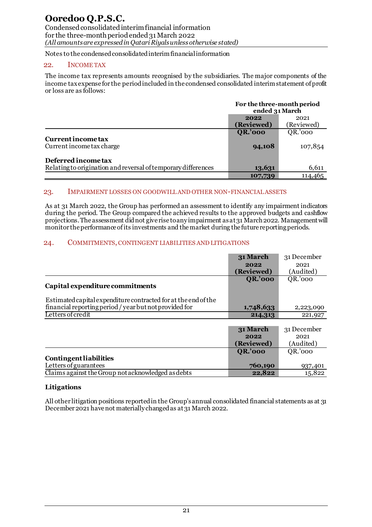# 22. INCOME TAX

The income tax represents amounts recognised by the subsidiaries. The major components of the income tax expense for the period included in the condensed consolidated interim statement of profit or loss are as follows:

|                                                               | For the three-month period<br>ended 31 March |                    |
|---------------------------------------------------------------|----------------------------------------------|--------------------|
|                                                               | 2022<br>(Reviewed)                           | 2021<br>(Reviewed) |
|                                                               | <b>QR.'000</b>                               | QR.'000            |
| Currentincometax<br>Current income tax charge                 | 94,108                                       | 107,854            |
| Deferred income tax                                           |                                              |                    |
| Relating to origination and reversal of temporary differences | 13,631                                       | 6,611              |
|                                                               | 107,739                                      | 114,465            |

#### 23. IMPAIRMENT LOSSES ON GOODWILL AND OTHER NON-FINANCIAL ASSETS

As at 31 March 2022, the Group has performed an assessment to identify any impairment indicators during the period. The Group compared the achieved results to the approved budgets and cashflow projections. The assessment did not give rise to any impairment as at 31 March 2022. Management will monitor the performance ofits investments and the market during the future reporting periods.

# 24. COMMITMENTS, CONTINGENT LIABILITIES AND LITIGATIONS

|                                                                | 31 March       | 31 December |
|----------------------------------------------------------------|----------------|-------------|
|                                                                | 2022           | 2021        |
|                                                                | (Reviewed)     | (Audited)   |
|                                                                | <b>QR.'000</b> | QR.'000     |
| Capital expenditure commitments                                |                |             |
|                                                                |                |             |
| Estimated capital expenditure contracted for at the end of the |                |             |
| financial reporting period / year but not provided for         | 1,748,633      | 2,223,090   |
| Letters of credit                                              | 214,313        | 221,927     |
|                                                                |                |             |
|                                                                | 31 March       | 31 December |
|                                                                | 2022           | 2021        |
|                                                                | (Reviewed)     | (Audited)   |
|                                                                | <b>QR.'000</b> | QR.'000     |
| <b>Contingent liabilities</b>                                  |                |             |
| Letters of guarantees                                          | 760,190        | 937,401     |
| Claims against the Group not acknowledged as debts             | 22,822         | 15,822      |

# **Litigations**

All other litigation positions reported in the Group's annual consolidated financial statements as at 31 December 2021 have not materially changed as at 31 March 2022.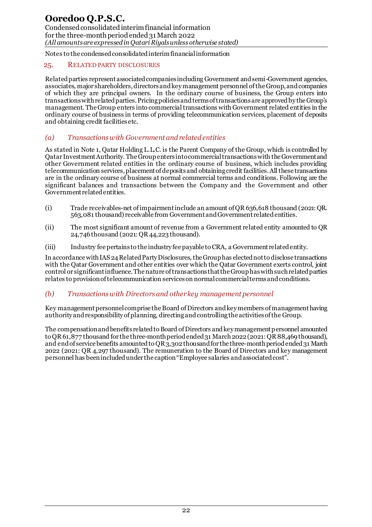# 25. RELATED PARTY DISCLOSURES

Related parties represent associated companies including Government and semi-Government agencies, associates, major shareholders, directors and key management personnel of the Group, and companies of which they are principal owners. In the ordinary course of business, the Group enters into transactions with related parties. Pricing policies and terms of transactions are approved by the Group's management. The Group enters into commercial transactions with Government related entities in the ordinary course of business in terms of providing telecommunication services, placement of deposits and obtaining credit facilities etc.

# *(a) Transactions with Government and related entities*

As stated in Note 1, Qatar Holding L.L.C. is the Parent Company of the Group, which is controlled by Qatar Investment Authority. The Group enters into commercial transactions with the Government and other Government related entities in the ordinary course of business, which includes providing telecommunication services, placement of deposits and obtaining credit facilities. All these transactions are in the ordinary course of business at normal commercial terms and conditions. Following are the significant balances and transactions between the Company and the Government and other Government related entities.

- (i) Trade receivables-net of impairmentinclude an amount of QR 636,618 thousand (2021: QR. 563,081 thousand) receivable from Government and Government related entities.
- (ii) The most significant amount of revenue from a Government related entity amounted to QR 24,746 thousand (2021: QR 44,223 thousand).
- (iii) Industry fee pertains to the industry fee payable to CRA, a Government related entity.

In accordance with IAS 24 Related Party Disclosures, the Group has elected not to disclose transactions with the Qatar Government and other entities over which the Qatar Government exerts control, joint control or significant influence. The nature of transactions that the Group has with such related parties relates to provision of telecommunication services on normal commercial terms and conditions.

# *(b) Transactions with Directors and other key management personnel*

Key management personnel comprise the Board of Directors and key members of management having authority and responsibility of planning, directing and controlling the activities of the Group.

The compensation and benefits related to Board of Directors and key management personnel amounted to OR 61,877 thousand for the three-month period ended 31 March 2022 (2021: OR 88,469 thousand), and end of service benefits amounted to QR3,302 thousand for the three-month period ended 31 March 2022 (2021: QR 4,297 thousand). The remuneration to the Board of Directors and key management personnel has been included under the caption "Employee salaries and associated cost".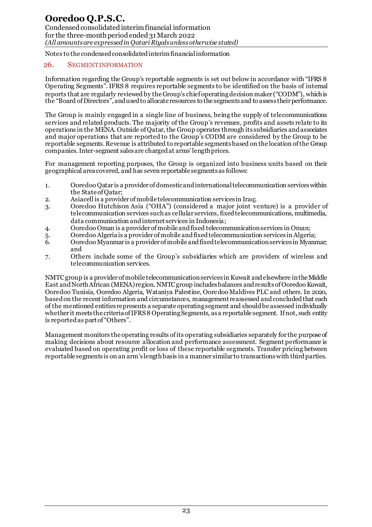### 26. SEGMENT INFORMATION

Information regarding the Group's reportable segments is set out below in accordance with "IFRS 8 Operating Segments". IFRS 8 requires reportable segments to be identified on the basis of internal reports that are regularly reviewed by the Group's chief operating decision maker ("CODM"), which is the "Board of Directors", and used to allocate resources to the segments and to assess their performance.

The Group is mainly engaged in a single line of business, being the supply of telecommunications services and related products. The majority of the Group's revenues, profits and assets relate to its operations in the MENA. Outside of Qatar, the Group operates through its subsidiaries and associates and major operations that are reported to the Group's CODM are considered by the Group to be reportable segments. Revenue is attributed to reportable segments based on the location of the Group companies. Inter-segment sales are charged at arms' length prices.

For management reporting purposes, the Group is organized into business units based on their geographical area covered, and has seven reportable segments as follows:

- 1. Ooredoo Qatar is a provider of domestic and international telecommunication services within the State of Qatar;
- 2. Asiacell is a provider of mobile telecommunication services in Iraq;
- 3. Ooredoo Hutchison Asia ("OHA") (considered a major joint venture) is a provider of telecommunication services such as cellular services, fixed telecommunications, multimedia, data communication and internet services in Indonesia;
- 4. Ooredoo Oman is a provider of mobile and fixed telecommunication services in Oman;
- 5. Ooredoo Algeria is a provider of mobile and fixed telecommunication services in Algeria;
- 6. Ooredoo Myanmar is a provider of mobile and fixed telecommunication services in Myanmar; and
- 7. Others include some of the Group's subsidiaries which are providers of wireless and telecommunication services.

NMTC group is a provider of mobile telecommunication services in Kuwait and elsewhere in the Middle East and North African (MENA) region. NMTC group includes balances and results of Ooredoo Kuwait, Ooredoo Tunisia, Ooredoo Algeria, Wataniya Palestine, Ooredoo Maldives PLC and others. In 2020, based on the recent information and circumstances, management reassessed and concluded that each of the mentioned entities represents a separate operating segment and should be assessed individually whether it meets the criteria of IFRS 8 Operating Segments, as a reportable segment. If not, such entity is reported as part of "Others".

Management monitors the operating results of its operating subsidiaries separately for the purpose of making decisions about resource allocation and performance assessment. Segment performance is evaluated based on operating profit or loss of these reportable segments. Transfer pricing between reportable segments is on an arm's length basis in a manner similar to transactions with third parties.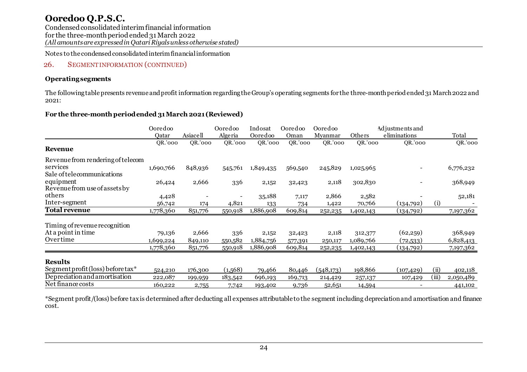Condensed consolidated interim financial information for the three-month period ended 31 March 2022 *(All amounts are expressed in Qatari Riyals unless otherwise stated)*

Notes to the condensed consolidated interim financial information

# 26. SEGMENT INFORMATION (CONTINUED)

# **Operating segments**

The following table presents revenue and profit information regarding the Group's operating segments for the three-month period ended 31 March 2022 and 2021:

# **For the three-month period ended 31 March 2021 (Reviewed)**

|                                                                             | Ooredoo   |          | Ooredoo | Indosat   | Ooredoo | Ooredoo   |           | Adjustments and |       |           |
|-----------------------------------------------------------------------------|-----------|----------|---------|-----------|---------|-----------|-----------|-----------------|-------|-----------|
|                                                                             | Oatar     | Asiacell | Algeria | Ooredoo   | Oman    | Myanmar   | Others    | eliminations    |       | Total     |
| Revenue                                                                     | QR.'000   | QR.'000  | QR.'000 | QR.'000   | QR.'000 | QR.'000   | QR.'000   | QR.'000         |       | QR.'000   |
| Revenue from rendering of telecom<br>services<br>Sale of telecommunications | 1,690,766 | 848,936  | 545,761 | 1,849,435 | 569,540 | 245,829   | 1,025,965 |                 |       | 6,776,232 |
| equipment<br>Revenue from use of assets by                                  | 26,424    | 2,666    | 336     | 2,152     | 32,423  | 2,118     | 302,830   |                 |       | 368,949   |
| others                                                                      | 4,428     |          |         | 35,188    | 7,117   | 2,866     | 2,582     |                 |       | 52,181    |
| Inter-segment                                                               | 56,742    | 174      | 4,821   | 133       | 734     | 1,422     | 70,766    | (134,792)       | (i)   |           |
| <b>Total revenue</b>                                                        | 1,778,360 | 851,776  | 550,918 | 1,886,908 | 609,814 | 252,235   | 1,402,143 | (134,792)       |       | 7,197,362 |
| Timing of revenue recognition                                               |           |          |         |           |         |           |           |                 |       |           |
| At a point in time                                                          | 79,136    | 2,666    | 336     | 2,152     | 32,423  | 2,118     | 312,377   | (62,259)        |       | 368,949   |
| Overtime                                                                    | 1,699,224 | 849,110  | 550,582 | 1,884,756 | 577,391 | 250,117   | 1,089,766 | (72, 533)       |       | 6,828,413 |
|                                                                             | 1,778,360 | 851,776  | 550,918 | 1,886,908 | 609,814 | 252,235   | 1,402,143 | (134,792)       |       | 7,197,362 |
| <b>Results</b>                                                              |           |          |         |           |         |           |           |                 |       |           |
| Segment profit (loss) before tax*                                           | 524,210   | 176,300  | (1,568) | 79,466    | 80,446  | (548,173) | 198,866   | (107, 429)      | (ii)  | 402,118   |
| Depreciation and amortisation                                               | 222,087   | 199,959  | 183,542 | 696,193   | 169,713 | 214,429   | 257,137   | 107,429         | (iii) | 2,050,489 |
| Net finance costs                                                           | 160,222   | 2,755    | 7,742   | 193,402   | 9,736   | 52,651    | 14,594    |                 |       | 441,102   |

\*Segment profit/(loss) before tax is determined after deducting all expenses attributable to the segment including depreciation and amortisation and finance cost.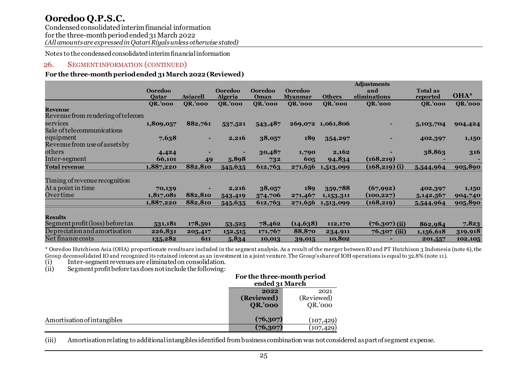Condensed consolidated interim financial information for the three-month period ended 31 March 2022 *(All amounts are expressed in Qatari Riyals unless otherwise stated)*

Notes to the condensed consolidated interim financial information

# 26. SEGMENT INFORMATION (CONTINUED)

## **For the three-month period ended 31 March 2022 (Reviewed)**

|                                                     |                         |                 |                                  |                        |                                  |                   | <b>Adjustments</b>  |                             |                |
|-----------------------------------------------------|-------------------------|-----------------|----------------------------------|------------------------|----------------------------------|-------------------|---------------------|-----------------------------|----------------|
|                                                     | <b>Ooredoo</b><br>Qatar | <b>Asiacell</b> | <b>Ooredoo</b><br><b>Algeria</b> | <b>Ooredoo</b><br>Oman | <b>Ooredoo</b><br><b>Myanmar</b> | <b>Others</b>     | and<br>eliminations | <b>Total as</b><br>reported | OHA*           |
|                                                     | <b>QR.'000</b>          | <b>QR.'000</b>  | <b>QR.'000</b>                   | <b>QR.'000</b>         | <b>QR.'000</b>                   | <b>QR.'000</b>    | QR.'000             | <b>OR.'000</b>              | <b>QR.'000</b> |
| <b>Revenue</b><br>Revenue from rendering of telecom |                         |                 |                                  |                        |                                  |                   |                     |                             |                |
| services                                            | 1,809,057               | 882,761         | 537,521                          | 543,487                |                                  | 269,072 1,061,806 |                     | 5,103,704                   | 904,424        |
| Sale of telecommunications                          |                         |                 |                                  |                        |                                  |                   |                     |                             |                |
| equipment                                           | 7,638                   |                 | 2,216                            | 38,057                 | 189                              | 354,297           |                     | 402,397                     | 1,150          |
| Revenue from use of assets by                       |                         |                 |                                  |                        |                                  |                   |                     |                             |                |
| others                                              | 4,424                   |                 |                                  | 30,487                 | 1,790                            | 2,162             |                     | 38,863                      | 316            |
| Inter-segment                                       | 66,101                  | 49              | 5,898                            | 732                    | 605                              | 94,834            | (168, 219)          |                             |                |
| <b>Total revenue</b>                                | 1,887,220               | 882,810         | 545,635                          | 612,763                | 271,656                          | 1,513,099         | $(168, 219)$ (i)    | 5,544,964                   | 905,890        |
|                                                     |                         |                 |                                  |                        |                                  |                   |                     |                             |                |
| Timing of revenue recognition                       |                         |                 |                                  |                        |                                  |                   |                     |                             |                |
| At a point in time                                  | 70,139                  |                 | 2,216                            | 38,057                 | 189                              | 359,788           | (67,992)            | 402,397                     | 1,150          |
| Overtime                                            | 1,817,081               | 882,810         | 543,419                          | 574,706                | 271,467                          | 1,153,311         | (100, 227)          | 5, 142, 567                 | 904,740        |
|                                                     | <u>1,887,220</u>        | 882,810         | 545,635                          | 612,763                | 271,656                          | 1,513,099         | (168, 219)          | 5,544,964                   | 905,890        |
|                                                     |                         |                 |                                  |                        |                                  |                   |                     |                             |                |
| <b>Results</b>                                      |                         |                 |                                  |                        |                                  |                   |                     |                             |                |
| Segment profit (loss) before tax                    | 531,181                 | 178,591         | 53,525                           | 78,462                 | (14, 638)                        | 112,170           | $(76, 307)$ (ii)    | 862,984                     | 7,823          |
| Depreciation and amortisation                       | 226,831                 | 205,417         | 152,515                          | 171,767                | 88,870                           | 234,911           | 76,307 (iii)        | 1,156,618                   | 319,918        |
| Net finance costs                                   | 135,282                 | 611             | 5,834                            | 10,013                 | 39,015                           | 10,802            |                     | 201,557                     | 102,105        |

\* Ooredoo Hutchison Asia (OHA) proportionate results are included in the segment analysis. As a result of the merger between IO and PT Hutchison 3 Indonesia (note 6), the Group deconsolidated IO and recognized its retained interest as an investment in a joint venture. The Group's share of IOH operations is equal to 32.8% (note 11).

(i) Inter-segment revenues are eliminated on consolidation.<br>
(ii) Segment profit before tax does not include the following:

 $Segment profit before tax does not include the following:$ 

|                             | For the three-month period<br>ended 31 March |                               |
|-----------------------------|----------------------------------------------|-------------------------------|
|                             | 2022<br>(Reviewed)<br><b>QR.'000</b>         | 2021<br>(Reviewed)<br>QR.'000 |
| Amortisation of intangibles | (76,307)<br>(76,307)                         | (107, 429)<br>(107, 429)      |

(iii) Amortisation relating to additional intangibles identified from business combination was not considered as part of segment expense.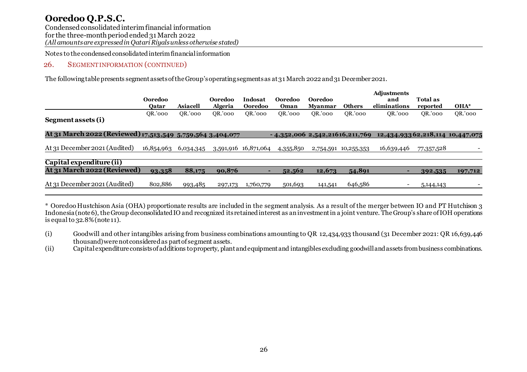# 26. SEGMENT INFORMATION (CONTINUED)

The following table presents segment assets of the Group's operating segments as at 31 March 2022and 31 December 2021.

|                                                            | Ooredoo<br>Oatar | <b>Asiacell</b> | <b>Ooredoo</b><br><b>Algeria</b> | Indosat<br>Ooredoo   | Ooredoo<br>Oman                  | Ooredoo<br><b>Myanmar</b> | <b>Others</b> | <b>Adjustments</b><br>and<br>eliminations | <b>Total as</b><br>reported | OHA*    |
|------------------------------------------------------------|------------------|-----------------|----------------------------------|----------------------|----------------------------------|---------------------------|---------------|-------------------------------------------|-----------------------------|---------|
| Segment assets (i)                                         | OR.'000          | OR.'000         | OR.'000                          | OR.'000              | OR.'000                          | OR.'000                   | OR.'000       | OR.'000                                   | OR.'000                     | QR.'000 |
| At 31 March 2022 (Reviewed) 17,513,549 5,759,564 3,404,077 |                  |                 |                                  |                      | $-4,352,006$ 2,542,21616,211,769 |                           |               | 12,434,93362,218,114 10,447,075           |                             |         |
| At 31 December 2021 (Audited)                              | 16,854,963       | 6,034,345       |                                  | 3,591,916 16,871,064 | 4,355,850                        | 2,754,591                 | 10,255,353    | 16,639,446                                | 77,357,528                  |         |
| Capital expenditure (ii)                                   |                  |                 |                                  |                      |                                  |                           |               |                                           |                             |         |
| At 31 March 2022 (Reviewed)                                | 93,358           | 88,175          | 90,876                           |                      | 52,562                           | 12,673                    | 54,891        |                                           | 392,535                     | 197,712 |
| At 31 December 2021 (Audited)                              | 802,886          | 993,485         | 297,173                          | 1,760,779            | 501,693                          | 141,541                   | 646,586       |                                           | 5, 144, 143                 |         |

\* Ooredoo Hustchison Asia (OHA) proportionate results are included in the segment analysis. As a result of the merger between IO and PT Hutchison 3 Indonesia (note 6), the Group deconsolidated IO and recognized its retained interest as an investment in a joint venture. The Group's share of IOH operations is equal to  $32.8\%$  (note 11).

(i) Goodwill and other intangibles arising from business combinations amounting to QR 12,434,933 thousand (31 December 2021: QR 16,639,446 thousand) were not considered as part of segment assets.

(ii) Capital expenditure consists of additions to property, plant and equipment and intangibles excluding goodwill and assets from business combinations.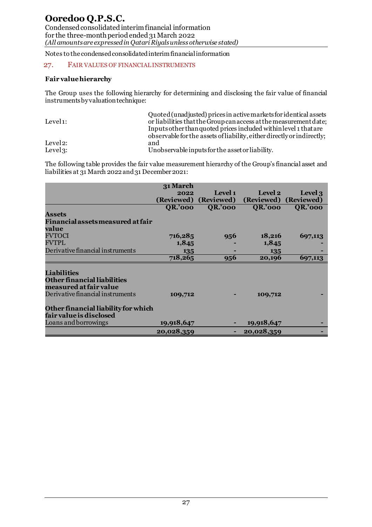# 27. FAIR VALUES OF FINANCIAL INSTRUMENTS

#### **Fair value hierarchy**

The Group uses the following hierarchy for determining and disclosing the fair value of financial instruments by valuation technique:

|                      | Quoted (unadjusted) prices in active markets for identical assets      |
|----------------------|------------------------------------------------------------------------|
| Level <sub>1</sub> : | or liabilities that the Group can access at the measurement date;      |
|                      | Inputs other than quoted prices included within level 1 that are       |
|                      | observable for the assets of liability, either directly or indirectly; |
| Level <sub>2</sub> : | and                                                                    |
| Level $3$ :          | Unobservable inputs for the asset or liability.                        |

The following table provides the fair value measurement hierarchy of the Group's financial asset and liabilities at 31 March 2022 and 31 December 2021:

|                                     | 31 March       |                |                       |                |
|-------------------------------------|----------------|----------------|-----------------------|----------------|
|                                     | 2022           | Level 1        | Level 2               | Level 3        |
|                                     | (Reviewed)     | (Reviewed)     | (Reviewed) (Reviewed) |                |
|                                     | <b>QR.'000</b> | <b>QR.'000</b> | <b>QR.'000</b>        | <b>QR.'000</b> |
| <b>Assets</b>                       |                |                |                       |                |
| Financial assets measured at fair   |                |                |                       |                |
| value                               |                |                |                       |                |
| <b>FVTOCI</b>                       | 716,285        | 956            | 18,216                | 697,113        |
| <b>FVTPL</b>                        | 1,845          |                | 1,845                 |                |
| Derivative financial instruments    | 135            |                | 135                   |                |
|                                     | 718,265        | 956            | 20,196                | 697,113        |
|                                     |                |                |                       |                |
| <b>Liabilities</b>                  |                |                |                       |                |
| <b>Other financial liabilities</b>  |                |                |                       |                |
| measured at fair value              |                |                |                       |                |
| Derivative financial instruments    | 109,712        |                | 109,712               |                |
| Other financial liability for which |                |                |                       |                |
| fair value is disclosed             |                |                |                       |                |
| Loans and borrowings                | 19,918,647     |                | 19,918,647            |                |
|                                     | 20,028,359     |                | 20,028,359            |                |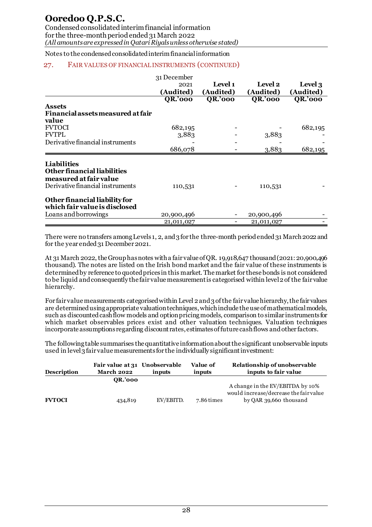Condensed consolidated interim financial information for the three-month period ended 31 March 2022 *(All amounts are expressed in Qatari Riyals unless otherwise stated)*

Notes to the condensed consolidated interim financial information

# 27. FAIR VALUES OF FINANCIAL INSTRUMENTS (CONTINUED)

|                                    | 31 December    |                          |                |                |
|------------------------------------|----------------|--------------------------|----------------|----------------|
|                                    | 2021           | Level 1                  | Level 2        | Level 3        |
|                                    | (Audited)      | (Audited)                | (Audited)      | (Audited)      |
|                                    | <b>QR.'000</b> | <b>QR.'000</b>           | <b>QR.'000</b> | <b>QR.'000</b> |
| <b>Assets</b>                      |                |                          |                |                |
| Financial assets measured at fair  |                |                          |                |                |
| value                              |                |                          |                |                |
| <b>FVTOCI</b>                      | 682,195        |                          |                | 682,195        |
| <b>FVTPL</b>                       | 3,883          |                          | 3,883          |                |
| Derivative financial instruments   |                |                          |                |                |
|                                    | 686,078        |                          | 3,883          | 682,195        |
|                                    |                |                          |                |                |
| <b>Liabilities</b>                 |                |                          |                |                |
| <b>Other financial liabilities</b> |                |                          |                |                |
| measured at fair value             |                |                          |                |                |
| Derivative financial instruments   | 110,531        |                          | 110,531        |                |
| Other financial liability for      |                |                          |                |                |
| which fair value is disclosed      |                |                          |                |                |
| Loans and borrowings               | 20,900,496     |                          | 20,900,496     |                |
|                                    | 21,011,027     | $\overline{\phantom{a}}$ | 21,011,027     |                |

There were no transfers among Levels 1, 2, and 3 for the three-month period ended 31 March 2022 and for the year ended 31 December 2021.

At 31 March 2022, the Group has notes with a fair value of QR. 19,918,647 thousand (2021: 20,900,496 thousand). The notes are listed on the Irish bond market and the fair value of these instruments is determined by reference to quoted prices in this market. The market for these bonds is not considered to be liquid and consequently the fair value measurement is categorised within level 2 of the fair value hierarchy.

For fair value measurements categorised within Level 2 and 3 of the fair value hierarchy, the fair values are determined using appropriate valuation techniques, which include the use of mathematical models, such as discounted cash flow models and option pricing models, comparison to similar instruments for which market observables prices exist and other valuation techniques. Valuation techniques incorporate assumptions regarding discount rates, estimates of future cash flows and other factors.

The following table summarises the quantitative information about the significant unobservable inputs used in level 3 fair value measurements for the individually significant investment:

| <b>Description</b> | Fair value at 31 Unobservable<br><b>March 2022</b> | inputs    | Value of<br>inputs | Relationship of unobservable<br>inputs to fair value |
|--------------------|----------------------------------------------------|-----------|--------------------|------------------------------------------------------|
|                    | <b>OR.'000</b>                                     |           |                    |                                                      |
|                    |                                                    |           |                    | A change in the EV/EBITDA by 10%                     |
|                    |                                                    |           |                    | would increase/decrease the fair value               |
| <b>FVTOCI</b>      | 434,819                                            | EV/EBITD. | 7.86 times         | by OAR 39,660 thousand                               |